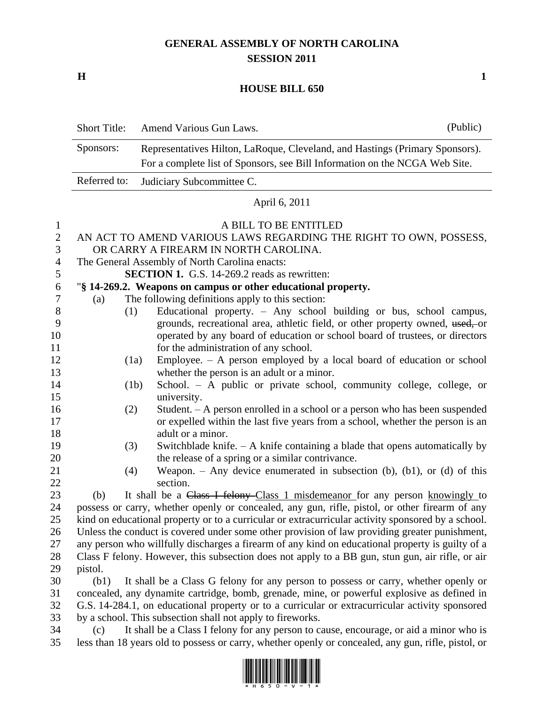# **GENERAL ASSEMBLY OF NORTH CAROLINA SESSION 2011**

**H 1**

### **HOUSE BILL 650**

|                  | <b>Short Title:</b> | Amend Various Gun Laws.                                                                                                                                     | (Public) |
|------------------|---------------------|-------------------------------------------------------------------------------------------------------------------------------------------------------------|----------|
|                  | Sponsors:           | Representatives Hilton, LaRoque, Cleveland, and Hastings (Primary Sponsors).<br>For a complete list of Sponsors, see Bill Information on the NCGA Web Site. |          |
|                  | Referred to:        | Judiciary Subcommittee C.                                                                                                                                   |          |
|                  |                     | April 6, 2011                                                                                                                                               |          |
| $\mathbf{1}$     |                     | A BILL TO BE ENTITLED                                                                                                                                       |          |
| $\overline{2}$   |                     | AN ACT TO AMEND VARIOUS LAWS REGARDING THE RIGHT TO OWN, POSSESS,                                                                                           |          |
| $\mathfrak{Z}$   |                     | OR CARRY A FIREARM IN NORTH CAROLINA.                                                                                                                       |          |
| $\overline{4}$   |                     | The General Assembly of North Carolina enacts:                                                                                                              |          |
| 5                |                     | <b>SECTION 1.</b> G.S. 14-269.2 reads as rewritten:                                                                                                         |          |
| $\boldsymbol{6}$ |                     | "§ 14-269.2. Weapons on campus or other educational property.                                                                                               |          |
| $\boldsymbol{7}$ | (a)                 | The following definitions apply to this section:                                                                                                            |          |
| 8                |                     | Educational property. - Any school building or bus, school campus,<br>(1)                                                                                   |          |
| 9                |                     | grounds, recreational area, athletic field, or other property owned, used, or                                                                               |          |
| 10               |                     | operated by any board of education or school board of trustees, or directors                                                                                |          |
| 11<br>12         |                     | for the administration of any school.<br>Employee. $-$ A person employed by a local board of education or school<br>(1a)                                    |          |
| 13               |                     | whether the person is an adult or a minor.                                                                                                                  |          |
| 14               |                     | School. - A public or private school, community college, college, or<br>(1b)                                                                                |          |
| 15               |                     | university.                                                                                                                                                 |          |
| 16               |                     | Student. – A person enrolled in a school or a person who has been suspended<br>(2)                                                                          |          |
| 17               |                     | or expelled within the last five years from a school, whether the person is an                                                                              |          |
| 18               |                     | adult or a minor.                                                                                                                                           |          |
| 19               |                     | Switchblade knife. $-$ A knife containing a blade that opens automatically by<br>(3)                                                                        |          |
| 20               |                     | the release of a spring or a similar contrivance.                                                                                                           |          |
| 21               |                     | Weapon. – Any device enumerated in subsection $(b)$ , $(b1)$ , or $(d)$ of this<br>(4)                                                                      |          |
| 22               |                     | section.                                                                                                                                                    |          |
| 23               | (b)                 | It shall be a Class I felony Class 1 misdemeanor for any person knowingly to                                                                                |          |
| 24               |                     | possess or carry, whether openly or concealed, any gun, rifle, pistol, or other firearm of any                                                              |          |
| 25               |                     | kind on educational property or to a curricular or extracurricular activity sponsored by a school.                                                          |          |
| 26               |                     | Unless the conduct is covered under some other provision of law providing greater punishment,                                                               |          |
| 27<br>28         |                     | any person who willfully discharges a firearm of any kind on educational property is guilty of a                                                            |          |
| 29               | pistol.             | Class F felony. However, this subsection does not apply to a BB gun, stun gun, air rifle, or air                                                            |          |
| 30               | (b1)                | It shall be a Class G felony for any person to possess or carry, whether openly or                                                                          |          |
| 31               |                     | concealed, any dynamite cartridge, bomb, grenade, mine, or powerful explosive as defined in                                                                 |          |
| 32               |                     | G.S. 14-284.1, on educational property or to a curricular or extracurricular activity sponsored                                                             |          |
| 33               |                     | by a school. This subsection shall not apply to fireworks.                                                                                                  |          |
| 34               | (c)                 | It shall be a Class I felony for any person to cause, encourage, or aid a minor who is                                                                      |          |

less than 18 years old to possess or carry, whether openly or concealed, any gun, rifle, pistol, or

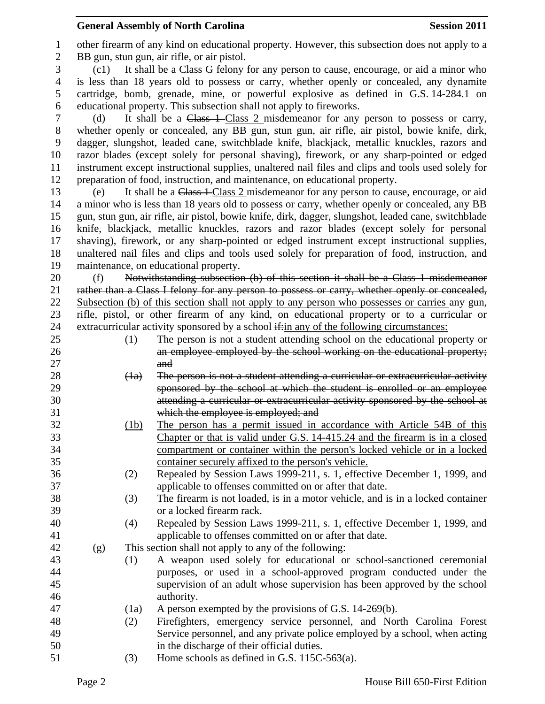other firearm of any kind on educational property. However, this subsection does not apply to a BB gun, stun gun, air rifle, or air pistol. (c1) It shall be a Class G felony for any person to cause, encourage, or aid a minor who is less than 18 years old to possess or carry, whether openly or concealed, any dynamite cartridge, bomb, grenade, mine, or powerful explosive as defined in G.S. 14-284.1 on educational property. This subsection shall not apply to fireworks. (d) It shall be a Class 1 Class 2 misdemeanor for any person to possess or carry, whether openly or concealed, any BB gun, stun gun, air rifle, air pistol, bowie knife, dirk, dagger, slungshot, leaded cane, switchblade knife, blackjack, metallic knuckles, razors and razor blades (except solely for personal shaving), firework, or any sharp-pointed or edged instrument except instructional supplies, unaltered nail files and clips and tools used solely for preparation of food, instruction, and maintenance, on educational property. (e) It shall be a Class 1 Class 2 misdemeanor for any person to cause, encourage, or aid a minor who is less than 18 years old to possess or carry, whether openly or concealed, any BB gun, stun gun, air rifle, air pistol, bowie knife, dirk, dagger, slungshot, leaded cane, switchblade knife, blackjack, metallic knuckles, razors and razor blades (except solely for personal shaving), firework, or any sharp-pointed or edged instrument except instructional supplies, unaltered nail files and clips and tools used solely for preparation of food, instruction, and maintenance, on educational property. (f) Notwithstanding subsection (b) of this section it shall be a Class 1 misdemeanor rather than a Class I felony for any person to possess or carry, whether openly or concealed, Subsection (b) of this section shall not apply to any person who possesses or carries any gun, rifle, pistol, or other firearm of any kind, on educational property or to a curricular or 24 extracurricular activity sponsored by a school  $\frac{1}{2}$ in any of the following circumstances: (1) The person is not a student attending school on the educational property or an employee employed by the school working on the educational property; 27 and 28 (1a) The person is not a student attending a curricular or extracurricular activity sponsored by the school at which the student is enrolled or an employee attending a curricular or extracurricular activity sponsored by the school at which the employee is employed; and (1b) The person has a permit issued in accordance with Article 54B of this Chapter or that is valid under G.S. 14-415.24 and the firearm is in a closed compartment or container within the person's locked vehicle or in a locked container securely affixed to the person's vehicle. (2) Repealed by Session Laws 1999-211, s. 1, effective December 1, 1999, and applicable to offenses committed on or after that date. (3) The firearm is not loaded, is in a motor vehicle, and is in a locked container or a locked firearm rack. (4) Repealed by Session Laws 1999-211, s. 1, effective December 1, 1999, and applicable to offenses committed on or after that date. (g) This section shall not apply to any of the following: (1) A weapon used solely for educational or school-sanctioned ceremonial purposes, or used in a school-approved program conducted under the supervision of an adult whose supervision has been approved by the school authority. (1a) A person exempted by the provisions of G.S. 14-269(b). (2) Firefighters, emergency service personnel, and North Carolina Forest Service personnel, and any private police employed by a school, when acting in the discharge of their official duties. (3) Home schools as defined in G.S. 115C-563(a).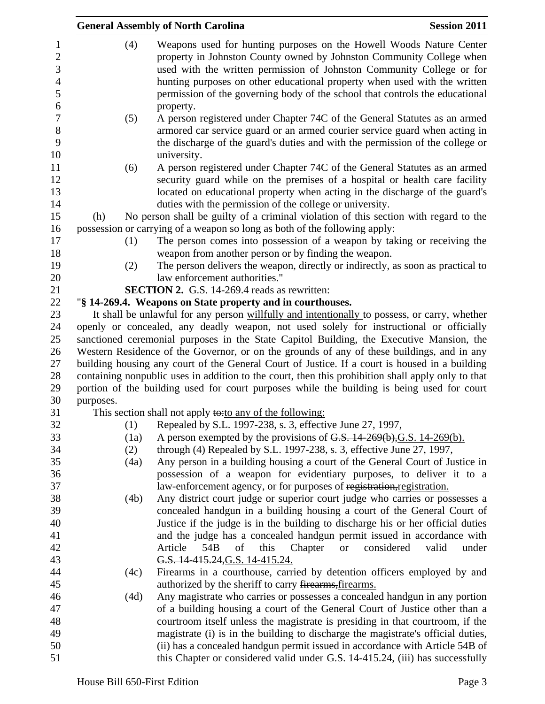|           |      | <b>General Assembly of North Carolina</b>                                                                                                                                                                                                                                                          | <b>Session 2011</b> |
|-----------|------|----------------------------------------------------------------------------------------------------------------------------------------------------------------------------------------------------------------------------------------------------------------------------------------------------|---------------------|
|           | (4)  | Weapons used for hunting purposes on the Howell Woods Nature Center<br>property in Johnston County owned by Johnston Community College when<br>used with the written permission of Johnston Community College or for                                                                               |                     |
|           |      | hunting purposes on other educational property when used with the written<br>permission of the governing body of the school that controls the educational<br>property.                                                                                                                             |                     |
|           | (5)  | A person registered under Chapter 74C of the General Statutes as an armed<br>armored car service guard or an armed courier service guard when acting in<br>the discharge of the guard's duties and with the permission of the college or<br>university.                                            |                     |
|           | (6)  | A person registered under Chapter 74C of the General Statutes as an armed<br>security guard while on the premises of a hospital or health care facility<br>located on educational property when acting in the discharge of the guard's<br>duties with the permission of the college or university. |                     |
| (h)       |      | No person shall be guilty of a criminal violation of this section with regard to the                                                                                                                                                                                                               |                     |
|           |      | possession or carrying of a weapon so long as both of the following apply:                                                                                                                                                                                                                         |                     |
|           | (1)  | The person comes into possession of a weapon by taking or receiving the<br>weapon from another person or by finding the weapon.                                                                                                                                                                    |                     |
|           | (2)  | The person delivers the weapon, directly or indirectly, as soon as practical to<br>law enforcement authorities."                                                                                                                                                                                   |                     |
|           |      | <b>SECTION 2.</b> G.S. 14-269.4 reads as rewritten:                                                                                                                                                                                                                                                |                     |
|           |      | "§ 14-269.4. Weapons on State property and in courthouses.                                                                                                                                                                                                                                         |                     |
|           |      | It shall be unlawful for any person willfully and intentionally to possess, or carry, whether                                                                                                                                                                                                      |                     |
|           |      | openly or concealed, any deadly weapon, not used solely for instructional or officially                                                                                                                                                                                                            |                     |
|           |      | sanctioned ceremonial purposes in the State Capitol Building, the Executive Mansion, the                                                                                                                                                                                                           |                     |
|           |      | Western Residence of the Governor, or on the grounds of any of these buildings, and in any<br>building housing any court of the General Court of Justice. If a court is housed in a building                                                                                                       |                     |
|           |      | containing nonpublic uses in addition to the court, then this prohibition shall apply only to that                                                                                                                                                                                                 |                     |
|           |      | portion of the building used for court purposes while the building is being used for court                                                                                                                                                                                                         |                     |
| purposes. |      |                                                                                                                                                                                                                                                                                                    |                     |
|           |      | This section shall not apply to: to any of the following:                                                                                                                                                                                                                                          |                     |
|           | (1)  | Repealed by S.L. 1997-238, s. 3, effective June 27, 1997,                                                                                                                                                                                                                                          |                     |
|           | (1a) | A person exempted by the provisions of $G.S. 14-269(b), G.S. 14-269(b)$ .                                                                                                                                                                                                                          |                     |
|           | (2)  | through (4) Repealed by S.L. 1997-238, s. 3, effective June 27, 1997,                                                                                                                                                                                                                              |                     |
|           | (4a) | Any person in a building housing a court of the General Court of Justice in                                                                                                                                                                                                                        |                     |
|           |      | possession of a weapon for evidentiary purposes, to deliver it to a                                                                                                                                                                                                                                |                     |
|           |      | law-enforcement agency, or for purposes of registration, registration.                                                                                                                                                                                                                             |                     |
|           | (4b) | Any district court judge or superior court judge who carries or possesses a<br>concealed handgun in a building housing a court of the General Court of                                                                                                                                             |                     |
|           |      | Justice if the judge is in the building to discharge his or her official duties                                                                                                                                                                                                                    |                     |
|           |      | and the judge has a concealed handgun permit issued in accordance with                                                                                                                                                                                                                             |                     |
|           |      | 54B<br>of<br>this<br>Chapter<br>considered<br>Article<br><b>or</b>                                                                                                                                                                                                                                 | valid<br>under      |
|           |      | G.S. 14-415.24, G.S. 14-415.24.                                                                                                                                                                                                                                                                    |                     |
|           | (4c) | Firearms in a courthouse, carried by detention officers employed by and                                                                                                                                                                                                                            |                     |
|           |      | authorized by the sheriff to carry firearms, firearms.                                                                                                                                                                                                                                             |                     |
|           | (4d) | Any magistrate who carries or possesses a concealed handgun in any portion                                                                                                                                                                                                                         |                     |
|           |      | of a building housing a court of the General Court of Justice other than a                                                                                                                                                                                                                         |                     |
|           |      | courtroom itself unless the magistrate is presiding in that courtroom, if the                                                                                                                                                                                                                      |                     |
|           |      | magistrate (i) is in the building to discharge the magistrate's official duties,                                                                                                                                                                                                                   |                     |
|           |      | (ii) has a concealed handgun permit issued in accordance with Article 54B of                                                                                                                                                                                                                       |                     |
|           |      | this Chapter or considered valid under G.S. 14-415.24, (iii) has successfully                                                                                                                                                                                                                      |                     |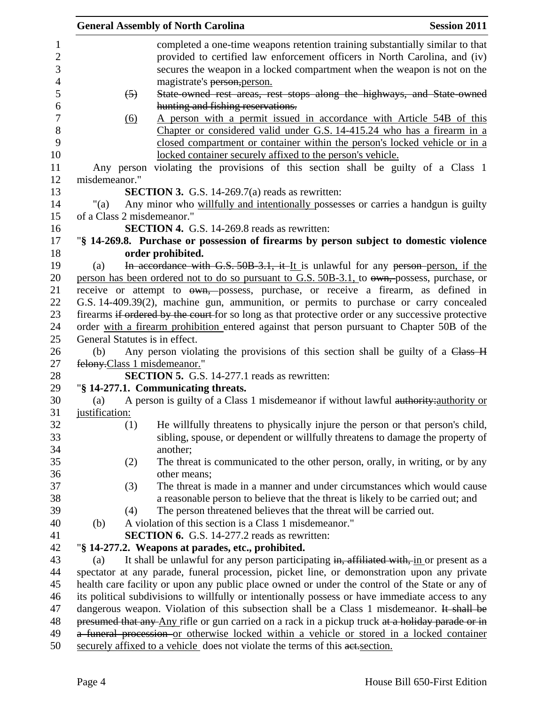|                |                                | <b>General Assembly of North Carolina</b>                                                          | <b>Session 2011</b> |
|----------------|--------------------------------|----------------------------------------------------------------------------------------------------|---------------------|
| $\mathbf{1}$   |                                | completed a one-time weapons retention training substantially similar to that                      |                     |
| $\overline{2}$ |                                | provided to certified law enforcement officers in North Carolina, and (iv)                         |                     |
| 3              |                                | secures the weapon in a locked compartment when the weapon is not on the                           |                     |
| $\overline{4}$ |                                | magistrate's person, person.                                                                       |                     |
| 5              | $\left(5\right)$               | State-owned rest areas, rest stops along the highways, and State-owned                             |                     |
| 6              |                                | hunting and fishing reservations.                                                                  |                     |
| $\tau$         | (6)                            | A person with a permit issued in accordance with Article 54B of this                               |                     |
| 8              |                                | Chapter or considered valid under G.S. 14-415.24 who has a firearm in a                            |                     |
| 9              |                                | closed compartment or container within the person's locked vehicle or in a                         |                     |
| 10             |                                | locked container securely affixed to the person's vehicle.                                         |                     |
|                |                                | Any person violating the provisions of this section shall be guilty of a Class 1                   |                     |
|                | misdemeanor."                  |                                                                                                    |                     |
|                |                                | <b>SECTION 3.</b> G.S. 14-269.7(a) reads as rewritten:                                             |                     |
|                | "(a)                           |                                                                                                    |                     |
|                | of a Class 2 misdemeanor."     | Any minor who willfully and intentionally possesses or carries a handgun is guilty                 |                     |
|                |                                |                                                                                                    |                     |
| 16<br>17       |                                | <b>SECTION 4.</b> G.S. 14-269.8 reads as rewritten:                                                |                     |
|                |                                | "§ 14-269.8. Purchase or possession of firearms by person subject to domestic violence             |                     |
| 19             |                                | order prohibited.                                                                                  |                     |
|                | (a)                            | In accordance with G.S. 50B-3.1, it It is unlawful for any person-person, if the                   |                     |
|                |                                | person has been ordered not to do so pursuant to G.S. 50B-3.1, to own, possess, purchase, or       |                     |
|                |                                | receive or attempt to <del>own, possess</del> , purchase, or receive a firearm, as defined in      |                     |
|                |                                | G.S. 14-409.39(2), machine gun, ammunition, or permits to purchase or carry concealed              |                     |
|                |                                | firearms if ordered by the court for so long as that protective order or any successive protective |                     |
|                |                                | order with a firearm prohibition entered against that person pursuant to Chapter 50B of the        |                     |
|                | General Statutes is in effect. |                                                                                                    |                     |
|                | (b)                            | Any person violating the provisions of this section shall be guilty of a Class H                   |                     |
|                | felony. Class 1 misdemeanor."  |                                                                                                    |                     |
|                |                                | <b>SECTION 5.</b> G.S. 14-277.1 reads as rewritten:                                                |                     |
|                |                                | "§ 14-277.1. Communicating threats.                                                                |                     |
|                | (a)                            | A person is guilty of a Class 1 misdemeanor if without lawful authority-authority or               |                     |
|                | justification:                 |                                                                                                    |                     |
|                | (1)                            | He willfully threatens to physically injure the person or that person's child,                     |                     |
|                |                                | sibling, spouse, or dependent or willfully threatens to damage the property of                     |                     |
|                |                                | another;                                                                                           |                     |
|                | (2)                            | The threat is communicated to the other person, orally, in writing, or by any                      |                     |
|                |                                | other means;                                                                                       |                     |
|                | (3)                            | The threat is made in a manner and under circumstances which would cause                           |                     |
|                |                                | a reasonable person to believe that the threat is likely to be carried out; and                    |                     |
|                | (4)                            | The person threatened believes that the threat will be carried out.                                |                     |
|                | (b)                            | A violation of this section is a Class 1 misdemeanor."                                             |                     |
|                |                                | <b>SECTION 6.</b> G.S. 14-277.2 reads as rewritten:                                                |                     |
|                |                                | "§ 14-277.2. Weapons at parades, etc., prohibited.                                                 |                     |
|                | (a)                            | It shall be unlawful for any person participating in, affiliated with, in or present as a          |                     |
|                |                                | spectator at any parade, funeral procession, picket line, or demonstration upon any private        |                     |
|                |                                | health care facility or upon any public place owned or under the control of the State or any of    |                     |
|                |                                | its political subdivisions to willfully or intentionally possess or have immediate access to any   |                     |
|                |                                | dangerous weapon. Violation of this subsection shall be a Class 1 misdemeanor. It shall be         |                     |
|                |                                | presumed that any Any rifle or gun carried on a rack in a pickup truck at a holiday parade or in   |                     |
|                |                                | a funeral procession or otherwise locked within a vehicle or stored in a locked container          |                     |
|                |                                | securely affixed to a vehicle does not violate the terms of this act.section.                      |                     |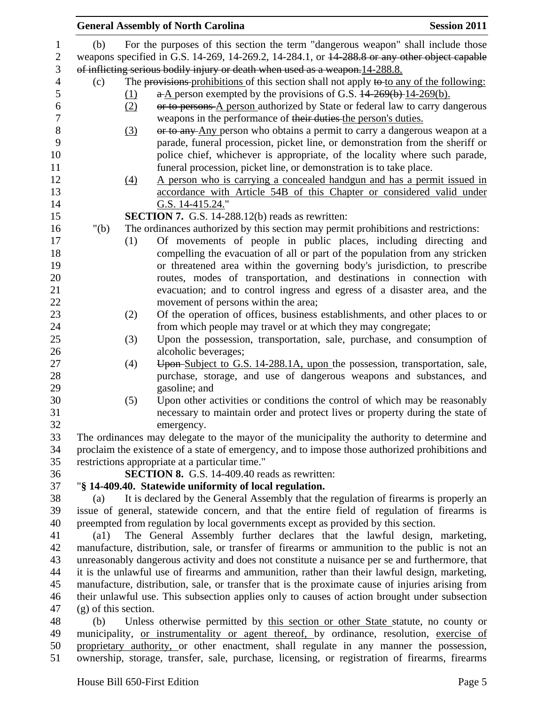|                  |                                                                                                   |                                                                                          | <b>General Assembly of North Carolina</b>                                                       | <b>Session 2011</b> |  |
|------------------|---------------------------------------------------------------------------------------------------|------------------------------------------------------------------------------------------|-------------------------------------------------------------------------------------------------|---------------------|--|
| $\mathbf{1}$     | (b)                                                                                               |                                                                                          | For the purposes of this section the term "dangerous weapon" shall include those                |                     |  |
| $\mathbf{2}$     |                                                                                                   |                                                                                          | weapons specified in G.S. 14-269, 14-269.2, 14-284.1, or 44-288.8 or any other object capable   |                     |  |
| $\mathfrak{Z}$   |                                                                                                   |                                                                                          | of inflicting serious bodily injury or death when used as a weapon.14-288.8.                    |                     |  |
| $\overline{4}$   | (c)                                                                                               |                                                                                          | The provisions prohibitions of this section shall not apply to to any of the following:         |                     |  |
| 5                |                                                                                                   | $\Omega$                                                                                 | $\frac{a}{A}$ person exempted by the provisions of G.S. $\frac{14-269(b)}{14-269(b)}$ .         |                     |  |
| 6                |                                                                                                   | (2)                                                                                      | or to persons A person authorized by State or federal law to carry dangerous                    |                     |  |
| $\boldsymbol{7}$ |                                                                                                   |                                                                                          | weapons in the performance of their duties the person's duties.                                 |                     |  |
| $8\,$            |                                                                                                   | (3)                                                                                      | or to any Any person who obtains a permit to carry a dangerous weapon at a                      |                     |  |
| 9                |                                                                                                   |                                                                                          | parade, funeral procession, picket line, or demonstration from the sheriff or                   |                     |  |
| 10               |                                                                                                   |                                                                                          | police chief, whichever is appropriate, of the locality where such parade,                      |                     |  |
| 11               |                                                                                                   |                                                                                          | funeral procession, picket line, or demonstration is to take place.                             |                     |  |
| 12               |                                                                                                   | $\left(4\right)$                                                                         | A person who is carrying a concealed handgun and has a permit issued in                         |                     |  |
| 13               |                                                                                                   |                                                                                          | accordance with Article 54B of this Chapter or considered valid under                           |                     |  |
| 14               |                                                                                                   |                                                                                          | G.S. 14-415.24."                                                                                |                     |  |
| 15               |                                                                                                   |                                                                                          | <b>SECTION 7.</b> G.S. 14-288.12(b) reads as rewritten:                                         |                     |  |
| 16               | " $(b)$                                                                                           |                                                                                          | The ordinances authorized by this section may permit prohibitions and restrictions:             |                     |  |
| 17               |                                                                                                   | (1)                                                                                      | Of movements of people in public places, including directing and                                |                     |  |
| 18               |                                                                                                   |                                                                                          | compelling the evacuation of all or part of the population from any stricken                    |                     |  |
| 19               |                                                                                                   |                                                                                          | or threatened area within the governing body's jurisdiction, to prescribe                       |                     |  |
| 20               |                                                                                                   |                                                                                          | routes, modes of transportation, and destinations in connection with                            |                     |  |
| 21               |                                                                                                   |                                                                                          | evacuation; and to control ingress and egress of a disaster area, and the                       |                     |  |
| 22               |                                                                                                   |                                                                                          | movement of persons within the area;                                                            |                     |  |
| 23               |                                                                                                   | (2)                                                                                      | Of the operation of offices, business establishments, and other places to or                    |                     |  |
| 24               |                                                                                                   |                                                                                          | from which people may travel or at which they may congregate;                                   |                     |  |
| 25               |                                                                                                   | (3)                                                                                      | Upon the possession, transportation, sale, purchase, and consumption of                         |                     |  |
| 26               |                                                                                                   |                                                                                          | alcoholic beverages;                                                                            |                     |  |
| 27               |                                                                                                   | (4)                                                                                      | Upon-Subject to G.S. 14-288.1A, upon the possession, transportation, sale,                      |                     |  |
| 28               |                                                                                                   |                                                                                          | purchase, storage, and use of dangerous weapons and substances, and                             |                     |  |
| 29               |                                                                                                   |                                                                                          | gasoline; and                                                                                   |                     |  |
| 30               |                                                                                                   | (5)                                                                                      | Upon other activities or conditions the control of which may be reasonably                      |                     |  |
| 31               |                                                                                                   |                                                                                          | necessary to maintain order and protect lives or property during the state of                   |                     |  |
| 32               |                                                                                                   |                                                                                          | emergency.                                                                                      |                     |  |
| 33               |                                                                                                   |                                                                                          | The ordinances may delegate to the mayor of the municipality the authority to determine and     |                     |  |
| 34               |                                                                                                   |                                                                                          | proclaim the existence of a state of emergency, and to impose those authorized prohibitions and |                     |  |
| 35               |                                                                                                   |                                                                                          | restrictions appropriate at a particular time."                                                 |                     |  |
| 36               |                                                                                                   |                                                                                          | <b>SECTION 8.</b> G.S. 14-409.40 reads as rewritten:                                            |                     |  |
| 37               |                                                                                                   |                                                                                          | "§ 14-409.40. Statewide uniformity of local regulation.                                         |                     |  |
| 38               | (a)                                                                                               |                                                                                          | It is declared by the General Assembly that the regulation of firearms is properly an           |                     |  |
| 39               |                                                                                                   |                                                                                          | issue of general, statewide concern, and that the entire field of regulation of firearms is     |                     |  |
| 40               |                                                                                                   |                                                                                          | preempted from regulation by local governments except as provided by this section.              |                     |  |
| 41               | $\left( a1\right)$                                                                                |                                                                                          | The General Assembly further declares that the lawful design, marketing,                        |                     |  |
| 42               |                                                                                                   |                                                                                          | manufacture, distribution, sale, or transfer of firearms or ammunition to the public is not an  |                     |  |
| 43               |                                                                                                   |                                                                                          | unreasonably dangerous activity and does not constitute a nuisance per se and furthermore, that |                     |  |
| 44               |                                                                                                   |                                                                                          | it is the unlawful use of firearms and ammunition, rather than their lawful design, marketing,  |                     |  |
| 45               | manufacture, distribution, sale, or transfer that is the proximate cause of injuries arising from |                                                                                          |                                                                                                 |                     |  |
| 46               |                                                                                                   |                                                                                          | their unlawful use. This subsection applies only to causes of action brought under subsection   |                     |  |
| 47               | $(g)$ of this section.                                                                            |                                                                                          |                                                                                                 |                     |  |
| 48               | (b)                                                                                               |                                                                                          | Unless otherwise permitted by this section or other State statute, no county or                 |                     |  |
| 49               |                                                                                                   | municipality, or instrumentality or agent thereof, by ordinance, resolution, exercise of |                                                                                                 |                     |  |
| 50               |                                                                                                   |                                                                                          | proprietary authority, or other enactment, shall regulate in any manner the possession,         |                     |  |
| 51               |                                                                                                   |                                                                                          | ownership, storage, transfer, sale, purchase, licensing, or registration of firearms, firearms  |                     |  |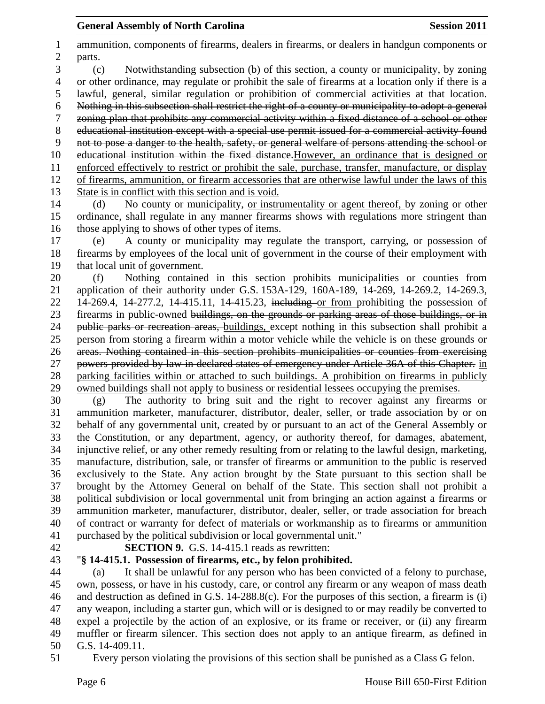ammunition, components of firearms, dealers in firearms, or dealers in handgun components or parts. (c) Notwithstanding subsection (b) of this section, a county or municipality, by zoning or other ordinance, may regulate or prohibit the sale of firearms at a location only if there is a lawful, general, similar regulation or prohibition of commercial activities at that location. Nothing in this subsection shall restrict the right of a county or municipality to adopt a general zoning plan that prohibits any commercial activity within a fixed distance of a school or other educational institution except with a special use permit issued for a commercial activity found not to pose a danger to the health, safety, or general welfare of persons attending the school or educational institution within the fixed distance.However, an ordinance that is designed or enforced effectively to restrict or prohibit the sale, purchase, transfer, manufacture, or display of firearms, ammunition, or firearm accessories that are otherwise lawful under the laws of this State is in conflict with this section and is void.

14 (d) No county or municipality, <u>or instrumentality or agent thereof</u>, by zoning or other ordinance, shall regulate in any manner firearms shows with regulations more stringent than those applying to shows of other types of items.

 (e) A county or municipality may regulate the transport, carrying, or possession of firearms by employees of the local unit of government in the course of their employment with that local unit of government.

- (f) Nothing contained in this section prohibits municipalities or counties from application of their authority under G.S. 153A-129, 160A-189, 14-269, 14-269.2, 14-269.3, 22 14-269.4, 14-277.2, 14-415.11, 14-415.23, including or from prohibiting the possession of firearms in public-owned buildings, on the grounds or parking areas of those buildings, or in public parks or recreation areas, buildings, except nothing in this subsection shall prohibit a 25 person from storing a firearm within a motor vehicle while the vehicle is on these grounds or areas. Nothing contained in this section prohibits municipalities or counties from exercising powers provided by law in declared states of emergency under Article 36A of this Chapter. in parking facilities within or attached to such buildings. A prohibition on firearms in publicly owned buildings shall not apply to business or residential lessees occupying the premises.
- (g) The authority to bring suit and the right to recover against any firearms or ammunition marketer, manufacturer, distributor, dealer, seller, or trade association by or on behalf of any governmental unit, created by or pursuant to an act of the General Assembly or the Constitution, or any department, agency, or authority thereof, for damages, abatement, injunctive relief, or any other remedy resulting from or relating to the lawful design, marketing, manufacture, distribution, sale, or transfer of firearms or ammunition to the public is reserved exclusively to the State. Any action brought by the State pursuant to this section shall be brought by the Attorney General on behalf of the State. This section shall not prohibit a political subdivision or local governmental unit from bringing an action against a firearms or ammunition marketer, manufacturer, distributor, dealer, seller, or trade association for breach of contract or warranty for defect of materials or workmanship as to firearms or ammunition purchased by the political subdivision or local governmental unit."
- 
- **SECTION 9.** G.S. 14-415.1 reads as rewritten:

## "**§ 14-415.1. Possession of firearms, etc., by felon prohibited.**

 (a) It shall be unlawful for any person who has been convicted of a felony to purchase, own, possess, or have in his custody, care, or control any firearm or any weapon of mass death and destruction as defined in G.S. 14-288.8(c). For the purposes of this section, a firearm is (i) any weapon, including a starter gun, which will or is designed to or may readily be converted to expel a projectile by the action of an explosive, or its frame or receiver, or (ii) any firearm muffler or firearm silencer. This section does not apply to an antique firearm, as defined in G.S. 14-409.11.

Every person violating the provisions of this section shall be punished as a Class G felon.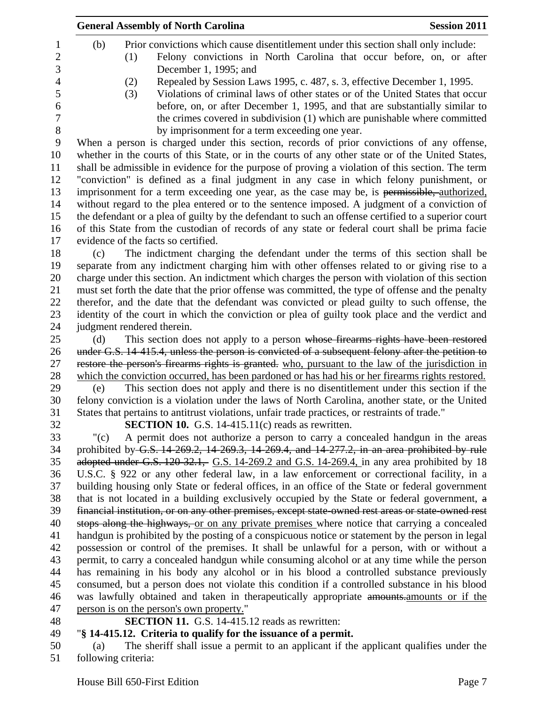| <b>General Assembly of North Carolina</b><br><b>Session 2011</b>                                                                                                                                     |
|------------------------------------------------------------------------------------------------------------------------------------------------------------------------------------------------------|
| Prior convictions which cause disentitlement under this section shall only include:<br>(b)<br>Felony convictions in North Carolina that occur before, on, or after<br>(1)<br>December 1, 1995; and   |
| (2)<br>Repealed by Session Laws 1995, c. 487, s. 3, effective December 1, 1995.                                                                                                                      |
| Violations of criminal laws of other states or of the United States that occur<br>(3)                                                                                                                |
| before, on, or after December 1, 1995, and that are substantially similar to                                                                                                                         |
| the crimes covered in subdivision (1) which are punishable where committed                                                                                                                           |
| by imprisonment for a term exceeding one year.                                                                                                                                                       |
| When a person is charged under this section, records of prior convictions of any offense,                                                                                                            |
| whether in the courts of this State, or in the courts of any other state or of the United States,                                                                                                    |
| shall be admissible in evidence for the purpose of proving a violation of this section. The term                                                                                                     |
| "conviction" is defined as a final judgment in any case in which felony punishment, or                                                                                                               |
| imprisonment for a term exceeding one year, as the case may be, is permissible, authorized,                                                                                                          |
| without regard to the plea entered or to the sentence imposed. A judgment of a conviction of                                                                                                         |
| the defendant or a plea of guilty by the defendant to such an offense certified to a superior court                                                                                                  |
| of this State from the custodian of records of any state or federal court shall be prima facie                                                                                                       |
| evidence of the facts so certified.                                                                                                                                                                  |
| The indictment charging the defendant under the terms of this section shall be<br>(c)                                                                                                                |
| separate from any indictment charging him with other offenses related to or giving rise to a                                                                                                         |
| charge under this section. An indictment which charges the person with violation of this section                                                                                                     |
| must set forth the date that the prior offense was committed, the type of offense and the penalty                                                                                                    |
| therefor, and the date that the defendant was convicted or plead guilty to such offense, the                                                                                                         |
| identity of the court in which the conviction or plea of guilty took place and the verdict and                                                                                                       |
| judgment rendered therein.                                                                                                                                                                           |
| This section does not apply to a person whose firearms rights have been restored<br>(d)                                                                                                              |
| under G.S. 14-415.4, unless the person is convicted of a subsequent felony after the petition to                                                                                                     |
| restore the person's firearms rights is granted. who, pursuant to the law of the jurisdiction in<br>which the conviction occurred, has been pardoned or has had his or her firearms rights restored. |
| This section does not apply and there is no disentitlement under this section if the<br>(e)                                                                                                          |
| felony conviction is a violation under the laws of North Carolina, another state, or the United                                                                                                      |
| States that pertains to antitrust violations, unfair trade practices, or restraints of trade."                                                                                                       |
| <b>SECTION 10.</b> G.S. 14-415.11 $(c)$ reads as rewritten.                                                                                                                                          |
| A permit does not authorize a person to carry a concealed handgun in the areas<br>"(c)                                                                                                               |
| prohibited by $G.S.$ 14-269.2, 14-269.3, 14-269.4, and 14-277.2, in an area prohibited by rule                                                                                                       |
| adopted under G.S. 120-32.1, G.S. 14-269.2 and G.S. 14-269.4, in any area prohibited by 18                                                                                                           |
| U.S.C. § 922 or any other federal law, in a law enforcement or correctional facility, in a                                                                                                           |
| building housing only State or federal offices, in an office of the State or federal government                                                                                                      |
| that is not located in a building exclusively occupied by the State or federal government, a                                                                                                         |
| financial institution, or on any other premises, except state-owned rest areas or state-owned rest                                                                                                   |
| stops along the highways, or on any private premises where notice that carrying a concealed                                                                                                          |
| handgun is prohibited by the posting of a conspicuous notice or statement by the person in legal                                                                                                     |
| possession or control of the premises. It shall be unlawful for a person, with or without a                                                                                                          |
| permit, to carry a concealed handgun while consuming alcohol or at any time while the person                                                                                                         |
| has remaining in his body any alcohol or in his blood a controlled substance previously                                                                                                              |
| consumed, but a person does not violate this condition if a controlled substance in his blood                                                                                                        |
| was lawfully obtained and taken in therapeutically appropriate amounts-amounts or if the                                                                                                             |
| person is on the person's own property."                                                                                                                                                             |
|                                                                                                                                                                                                      |

48 **SECTION 11.** G.S. 14-415.12 reads as rewritten:<br>49 **SECTION 11.** G.S. 14-415.12 reads as rewritten: "**§ 14-415.12. Criteria to qualify for the issuance of a permit.**

 (a) The sheriff shall issue a permit to an applicant if the applicant qualifies under the following criteria: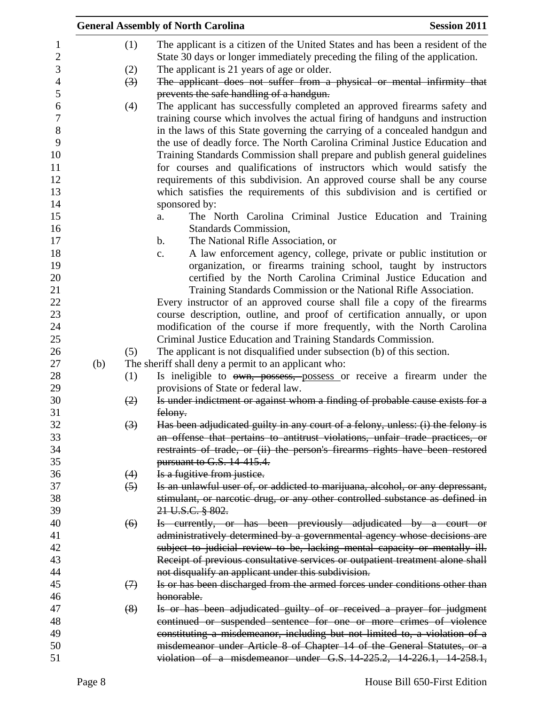|     |                   | <b>General Assembly of North Carolina</b>                                                                                                                                                                                                                                                                                                                                                                                                                                                                                                                                                                                            | <b>Session 2011</b> |
|-----|-------------------|--------------------------------------------------------------------------------------------------------------------------------------------------------------------------------------------------------------------------------------------------------------------------------------------------------------------------------------------------------------------------------------------------------------------------------------------------------------------------------------------------------------------------------------------------------------------------------------------------------------------------------------|---------------------|
|     | (1)               | The applicant is a citizen of the United States and has been a resident of the<br>State 30 days or longer immediately preceding the filing of the application.                                                                                                                                                                                                                                                                                                                                                                                                                                                                       |                     |
|     | (2)               | The applicant is 21 years of age or older.                                                                                                                                                                                                                                                                                                                                                                                                                                                                                                                                                                                           |                     |
|     | $\left(3\right)$  | The applicant does not suffer from a physical or mental infirmity that                                                                                                                                                                                                                                                                                                                                                                                                                                                                                                                                                               |                     |
|     |                   | prevents the safe handling of a handgun.                                                                                                                                                                                                                                                                                                                                                                                                                                                                                                                                                                                             |                     |
|     | (4)               | The applicant has successfully completed an approved firearms safety and<br>training course which involves the actual firing of handguns and instruction<br>in the laws of this State governing the carrying of a concealed handgun and<br>the use of deadly force. The North Carolina Criminal Justice Education and<br>Training Standards Commission shall prepare and publish general guidelines<br>for courses and qualifications of instructors which would satisfy the<br>requirements of this subdivision. An approved course shall be any course<br>which satisfies the requirements of this subdivision and is certified or |                     |
|     |                   | sponsored by:                                                                                                                                                                                                                                                                                                                                                                                                                                                                                                                                                                                                                        |                     |
|     |                   | The North Carolina Criminal Justice Education and Training<br>a.                                                                                                                                                                                                                                                                                                                                                                                                                                                                                                                                                                     |                     |
|     |                   | Standards Commission,                                                                                                                                                                                                                                                                                                                                                                                                                                                                                                                                                                                                                |                     |
|     |                   | The National Rifle Association, or<br>$\mathbf b$ .                                                                                                                                                                                                                                                                                                                                                                                                                                                                                                                                                                                  |                     |
|     |                   | A law enforcement agency, college, private or public institution or<br>$\mathbf{c}$ .                                                                                                                                                                                                                                                                                                                                                                                                                                                                                                                                                |                     |
|     |                   | organization, or firearms training school, taught by instructors                                                                                                                                                                                                                                                                                                                                                                                                                                                                                                                                                                     |                     |
|     |                   | certified by the North Carolina Criminal Justice Education and                                                                                                                                                                                                                                                                                                                                                                                                                                                                                                                                                                       |                     |
|     |                   | Training Standards Commission or the National Rifle Association.                                                                                                                                                                                                                                                                                                                                                                                                                                                                                                                                                                     |                     |
|     |                   | Every instructor of an approved course shall file a copy of the firearms<br>course description, outline, and proof of certification annually, or upon                                                                                                                                                                                                                                                                                                                                                                                                                                                                                |                     |
|     |                   | modification of the course if more frequently, with the North Carolina                                                                                                                                                                                                                                                                                                                                                                                                                                                                                                                                                               |                     |
|     |                   | Criminal Justice Education and Training Standards Commission.                                                                                                                                                                                                                                                                                                                                                                                                                                                                                                                                                                        |                     |
|     | (5)               | The applicant is not disqualified under subsection (b) of this section.                                                                                                                                                                                                                                                                                                                                                                                                                                                                                                                                                              |                     |
| (b) |                   | The sheriff shall deny a permit to an applicant who:                                                                                                                                                                                                                                                                                                                                                                                                                                                                                                                                                                                 |                     |
|     | (1)               | Is ineligible to own, possess, possess or receive a firearm under the                                                                                                                                                                                                                                                                                                                                                                                                                                                                                                                                                                |                     |
|     |                   | provisions of State or federal law.                                                                                                                                                                                                                                                                                                                                                                                                                                                                                                                                                                                                  |                     |
|     | (2)               | Is under indictment or against whom a finding of probable cause exists for a                                                                                                                                                                                                                                                                                                                                                                                                                                                                                                                                                         |                     |
|     |                   | felony.                                                                                                                                                                                                                                                                                                                                                                                                                                                                                                                                                                                                                              |                     |
|     | (3)               | Has been adjudicated guilty in any court of a felony, unless: (i) the felony is                                                                                                                                                                                                                                                                                                                                                                                                                                                                                                                                                      |                     |
|     |                   | an offense that pertains to antitrust violations, unfair trade practices, or                                                                                                                                                                                                                                                                                                                                                                                                                                                                                                                                                         |                     |
|     |                   | restraints of trade, or (ii) the person's firearms rights have been restored                                                                                                                                                                                                                                                                                                                                                                                                                                                                                                                                                         |                     |
|     |                   | pursuant to G.S. 14-415.4.                                                                                                                                                                                                                                                                                                                                                                                                                                                                                                                                                                                                           |                     |
|     | (4)               | Is a fugitive from justice.                                                                                                                                                                                                                                                                                                                                                                                                                                                                                                                                                                                                          |                     |
|     | (5)               | Is an unlawful user of, or addicted to marijuana, alcohol, or any depressant,                                                                                                                                                                                                                                                                                                                                                                                                                                                                                                                                                        |                     |
|     |                   | stimulant, or narcotic drug, or any other controlled substance as defined in                                                                                                                                                                                                                                                                                                                                                                                                                                                                                                                                                         |                     |
|     |                   | 21 U.S.C. § 802.                                                                                                                                                                                                                                                                                                                                                                                                                                                                                                                                                                                                                     |                     |
|     | (6)               | Is currently, or has been previously adjudicated by a court or                                                                                                                                                                                                                                                                                                                                                                                                                                                                                                                                                                       |                     |
|     |                   | administratively determined by a governmental agency whose decisions are                                                                                                                                                                                                                                                                                                                                                                                                                                                                                                                                                             |                     |
|     |                   | subject to judicial review to be, lacking mental capacity or mentally ill.<br>Receipt of previous consultative services or outpatient treatment alone shall                                                                                                                                                                                                                                                                                                                                                                                                                                                                          |                     |
|     |                   | not disqualify an applicant under this subdivision.                                                                                                                                                                                                                                                                                                                                                                                                                                                                                                                                                                                  |                     |
|     | $\leftrightarrow$ | Is or has been discharged from the armed forces under conditions other than                                                                                                                                                                                                                                                                                                                                                                                                                                                                                                                                                          |                     |
|     |                   | honorable.                                                                                                                                                                                                                                                                                                                                                                                                                                                                                                                                                                                                                           |                     |
|     | (8)               | Is or has been adjudicated guilty of or received a prayer for judgment                                                                                                                                                                                                                                                                                                                                                                                                                                                                                                                                                               |                     |
|     |                   | continued or suspended sentence for one or more crimes of violence                                                                                                                                                                                                                                                                                                                                                                                                                                                                                                                                                                   |                     |
|     |                   | constituting a misdemeanor, including but not limited to, a violation of a                                                                                                                                                                                                                                                                                                                                                                                                                                                                                                                                                           |                     |
|     |                   | misdemeanor under Article 8 of Chapter 14 of the General Statutes, or a                                                                                                                                                                                                                                                                                                                                                                                                                                                                                                                                                              |                     |
|     |                   | violation of a misdemeanor under G.S. 14-225.2, 14-226.1, 14-258.1,                                                                                                                                                                                                                                                                                                                                                                                                                                                                                                                                                                  |                     |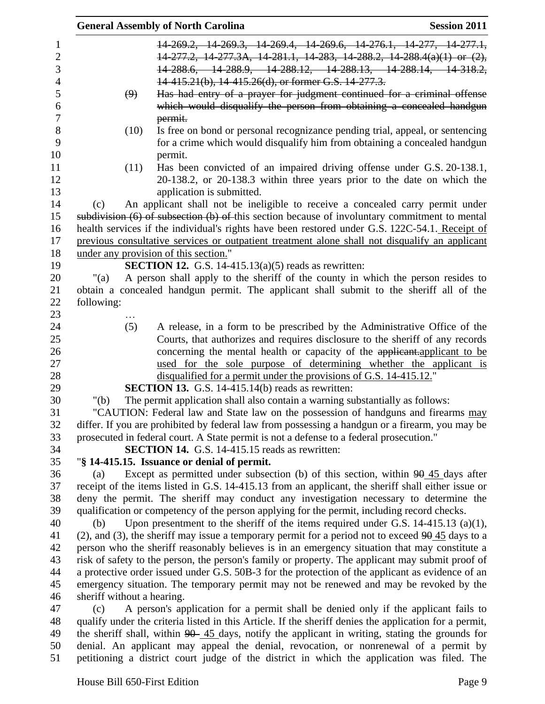|                |                                       | <b>General Assembly of North Carolina</b>                   | <b>Session 2011</b>                                                                                    |
|----------------|---------------------------------------|-------------------------------------------------------------|--------------------------------------------------------------------------------------------------------|
| $\mathbf{1}$   |                                       |                                                             | 14-269.2, 14-269.3, 14-269.4, 14-269.6, 14-276.1, 14-277, 14-277.1,                                    |
| $\sqrt{2}$     |                                       |                                                             | 14-277.2, 14-277.3A, 14-281.1, 14-283, 14-288.2, 14-288.4(a)(1) or (2),                                |
| 3              |                                       |                                                             | 14-288.6, 14-288.9, 14-288.12, 14-288.13, 14-288.14, 14-318.2,                                         |
| $\overline{4}$ |                                       | 14-415.21(b), 14-415.26(d), or former G.S. 14-277.3.        |                                                                                                        |
| 5              | $\left( \Theta \right)$               |                                                             | Has had entry of a prayer for judgment continued for a criminal offense                                |
| 6              |                                       |                                                             | which would disqualify the person from obtaining a concealed handgun                                   |
| 7              |                                       | permit.                                                     |                                                                                                        |
| 8              | (10)                                  |                                                             | Is free on bond or personal recognizance pending trial, appeal, or sentencing                          |
| 9              |                                       |                                                             | for a crime which would disqualify him from obtaining a concealed handgun                              |
| 10             |                                       | permit.                                                     |                                                                                                        |
| 11             | (11)                                  |                                                             | Has been convicted of an impaired driving offense under G.S. 20-138.1,                                 |
| 12             |                                       |                                                             | 20-138.2, or 20-138.3 within three years prior to the date on which the                                |
| 13             |                                       | application is submitted.                                   |                                                                                                        |
| 14             | (c)                                   |                                                             | An applicant shall not be ineligible to receive a concealed carry permit under                         |
| 15             |                                       |                                                             | subdivision (6) of subsection (b) of this section because of involuntary commitment to mental          |
| 16             |                                       |                                                             | health services if the individual's rights have been restored under G.S. 122C-54.1. Receipt of         |
| 17             |                                       |                                                             | previous consultative services or outpatient treatment alone shall not disqualify an applicant         |
| 18             | under any provision of this section." |                                                             |                                                                                                        |
| 19             |                                       | <b>SECTION 12.</b> G.S. 14-415.13(a)(5) reads as rewritten: |                                                                                                        |
| 20             | "(a)                                  |                                                             | A person shall apply to the sheriff of the county in which the person resides to                       |
| 21             |                                       |                                                             | obtain a concealed handgun permit. The applicant shall submit to the sheriff all of the                |
| 22             | following:                            |                                                             |                                                                                                        |
| 23             |                                       |                                                             |                                                                                                        |
| 24             | (5)                                   |                                                             | A release, in a form to be prescribed by the Administrative Office of the                              |
| 25             |                                       |                                                             | Courts, that authorizes and requires disclosure to the sheriff of any records                          |
| 26             |                                       |                                                             | concerning the mental health or capacity of the applicant.applicant to be                              |
| 27             |                                       |                                                             | used for the sole purpose of determining whether the applicant is                                      |
| 28             |                                       |                                                             | disqualified for a permit under the provisions of G.S. 14-415.12."                                     |
| 29             |                                       | <b>SECTION 13.</b> G.S. 14-415.14(b) reads as rewritten:    |                                                                                                        |
| 30             | " $(b)$                               |                                                             | The permit application shall also contain a warning substantially as follows:                          |
| 31             |                                       |                                                             | "CAUTION: Federal law and State law on the possession of handguns and firearms may                     |
| 32             |                                       |                                                             | differ. If you are prohibited by federal law from possessing a handgun or a firearm, you may be        |
| 33             |                                       |                                                             | prosecuted in federal court. A State permit is not a defense to a federal prosecution."                |
| 34             |                                       | <b>SECTION 14.</b> G.S. 14-415.15 reads as rewritten:       |                                                                                                        |
| 35             |                                       | "§ 14-415.15. Issuance or denial of permit.                 |                                                                                                        |
| 36             | (a)                                   |                                                             | Except as permitted under subsection (b) of this section, within $90-45$ days after                    |
| 37             |                                       |                                                             | receipt of the items listed in G.S. 14-415.13 from an applicant, the sheriff shall either issue or     |
| 38             |                                       |                                                             | deny the permit. The sheriff may conduct any investigation necessary to determine the                  |
| 39             |                                       |                                                             | qualification or competency of the person applying for the permit, including record checks.            |
| 40             | (b)                                   |                                                             | Upon presentment to the sheriff of the items required under G.S. $14-415.13$ (a)(1),                   |
| 41             |                                       |                                                             | (2), and (3), the sheriff may issue a temporary permit for a period not to exceed $90.45$ days to a    |
| 42             |                                       |                                                             | person who the sheriff reasonably believes is in an emergency situation that may constitute a          |
| 43             |                                       |                                                             | risk of safety to the person, the person's family or property. The applicant may submit proof of       |
| 44             |                                       |                                                             | a protective order issued under G.S. 50B-3 for the protection of the applicant as evidence of an       |
| 45             |                                       |                                                             | emergency situation. The temporary permit may not be renewed and may be revoked by the                 |
| 46             | sheriff without a hearing.            |                                                             |                                                                                                        |
| 47             | (c)                                   |                                                             | A person's application for a permit shall be denied only if the applicant fails to                     |
| 48             |                                       |                                                             | qualify under the criteria listed in this Article. If the sheriff denies the application for a permit, |
| 49             |                                       |                                                             | the sheriff shall, within $90-45$ days, notify the applicant in writing, stating the grounds for       |
| 50             |                                       |                                                             | denial. An applicant may appeal the denial, revocation, or nonrenewal of a permit by                   |
| 51             |                                       |                                                             | petitioning a district court judge of the district in which the application was filed. The             |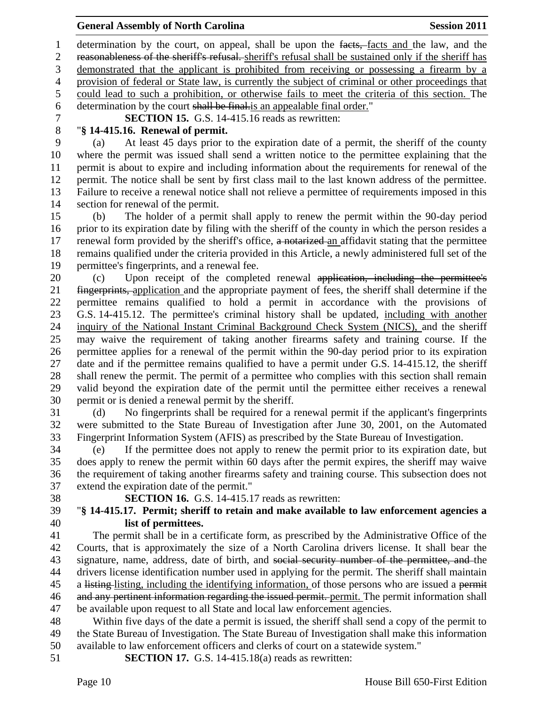## **General Assembly of North Carolina Session 2011**

 determination by the court, on appeal, shall be upon the facts, facts and the law, and the reasonableness of the sheriff's refusal. sheriff's refusal shall be sustained only if the sheriff has demonstrated that the applicant is prohibited from receiving or possessing a firearm by a provision of federal or State law, is currently the subject of criminal or other proceedings that could lead to such a prohibition, or otherwise fails to meet the criteria of this section. The determination by the court shall be final.is an appealable final order."

**SECTION 15.** G.S. 14-415.16 reads as rewritten:

# "**§ 14-415.16. Renewal of permit.**

 (a) At least 45 days prior to the expiration date of a permit, the sheriff of the county where the permit was issued shall send a written notice to the permittee explaining that the permit is about to expire and including information about the requirements for renewal of the permit. The notice shall be sent by first class mail to the last known address of the permittee. Failure to receive a renewal notice shall not relieve a permittee of requirements imposed in this section for renewal of the permit.

 (b) The holder of a permit shall apply to renew the permit within the 90-day period prior to its expiration date by filing with the sheriff of the county in which the person resides a 17 renewal form provided by the sheriff's office, a notarized an affidavit stating that the permittee remains qualified under the criteria provided in this Article, a newly administered full set of the permittee's fingerprints, and a renewal fee.

 (c) Upon receipt of the completed renewal application, including the permittee's 21 <del>fingerprints, application and the appropriate payment</del> of fees, the sheriff shall determine if the permittee remains qualified to hold a permit in accordance with the provisions of G.S. 14-415.12. The permittee's criminal history shall be updated, including with another inquiry of the National Instant Criminal Background Check System (NICS), and the sheriff may waive the requirement of taking another firearms safety and training course. If the permittee applies for a renewal of the permit within the 90-day period prior to its expiration date and if the permittee remains qualified to have a permit under G.S. 14-415.12, the sheriff shall renew the permit. The permit of a permittee who complies with this section shall remain valid beyond the expiration date of the permit until the permittee either receives a renewal permit or is denied a renewal permit by the sheriff.

 (d) No fingerprints shall be required for a renewal permit if the applicant's fingerprints were submitted to the State Bureau of Investigation after June 30, 2001, on the Automated Fingerprint Information System (AFIS) as prescribed by the State Bureau of Investigation.

 (e) If the permittee does not apply to renew the permit prior to its expiration date, but does apply to renew the permit within 60 days after the permit expires, the sheriff may waive the requirement of taking another firearms safety and training course. This subsection does not extend the expiration date of the permit."

**SECTION 16.** G.S. 14-415.17 reads as rewritten:

### "**§ 14-415.17. Permit; sheriff to retain and make available to law enforcement agencies a list of permittees.**

 The permit shall be in a certificate form, as prescribed by the Administrative Office of the Courts, that is approximately the size of a North Carolina drivers license. It shall bear the signature, name, address, date of birth, and social security number of the permittee, and the drivers license identification number used in applying for the permit. The sheriff shall maintain 45 a listing listing, including the identifying information, of those persons who are issued a permit 46 and any pertinent information regarding the issued permit. permit. The permit information shall be available upon request to all State and local law enforcement agencies.

 Within five days of the date a permit is issued, the sheriff shall send a copy of the permit to the State Bureau of Investigation. The State Bureau of Investigation shall make this information available to law enforcement officers and clerks of court on a statewide system."

**SECTION 17.** G.S. 14-415.18(a) reads as rewritten: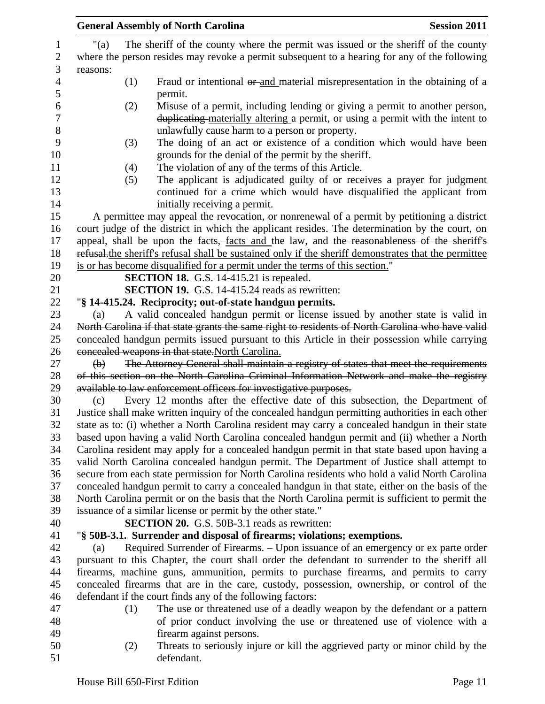|                                 | <b>General Assembly of North Carolina</b><br><b>Session 2011</b>                                                                                                     |  |
|---------------------------------|----------------------------------------------------------------------------------------------------------------------------------------------------------------------|--|
| $\mathbf{1}$                    | The sheriff of the county where the permit was issued or the sheriff of the county<br>" $(a)$                                                                        |  |
| $\boldsymbol{2}$                | where the person resides may revoke a permit subsequent to a hearing for any of the following                                                                        |  |
| $\mathfrak{Z}$                  | reasons:                                                                                                                                                             |  |
| $\overline{4}$<br>$\mathfrak s$ | Fraud or intentional or and material misrepresentation in the obtaining of a<br>(1)                                                                                  |  |
| 6                               | permit.<br>Misuse of a permit, including lending or giving a permit to another person,<br>(2)                                                                        |  |
| $\tau$                          | duplicating materially altering a permit, or using a permit with the intent to                                                                                       |  |
| 8                               | unlawfully cause harm to a person or property.                                                                                                                       |  |
| 9                               | The doing of an act or existence of a condition which would have been<br>(3)                                                                                         |  |
| 10                              | grounds for the denial of the permit by the sheriff.                                                                                                                 |  |
| 11                              | The violation of any of the terms of this Article.<br>(4)                                                                                                            |  |
| 12                              | The applicant is adjudicated guilty of or receives a prayer for judgment<br>(5)                                                                                      |  |
| 13                              | continued for a crime which would have disqualified the applicant from                                                                                               |  |
| 14                              | initially receiving a permit.                                                                                                                                        |  |
| 15                              | A permittee may appeal the revocation, or nonrenewal of a permit by petitioning a district                                                                           |  |
| 16                              | court judge of the district in which the applicant resides. The determination by the court, on                                                                       |  |
| 17                              | appeal, shall be upon the facts, facts and the law, and the reasonableness of the sheriff's                                                                          |  |
| 18                              | refusal the sheriff's refusal shall be sustained only if the sheriff demonstrates that the permittee                                                                 |  |
| 19                              | is or has become disqualified for a permit under the terms of this section."                                                                                         |  |
| 20                              | <b>SECTION 18.</b> G.S. 14-415.21 is repealed.                                                                                                                       |  |
| 21                              | <b>SECTION 19.</b> G.S. 14-415.24 reads as rewritten:                                                                                                                |  |
| 22                              | "§ 14-415.24. Reciprocity; out-of-state handgun permits.                                                                                                             |  |
| 23                              | A valid concealed handgun permit or license issued by another state is valid in<br>(a)                                                                               |  |
| 24                              | North Carolina if that state grants the same right to residents of North Carolina who have valid                                                                     |  |
| 25                              | concealed handgun permits issued pursuant to this Article in their possession while carrying                                                                         |  |
| 26<br>27                        | concealed weapons in that state. North Carolina.<br>The Attorney General shall maintain a registry of states that meet the requirements<br>$\left(\mathbf{b}\right)$ |  |
| 28                              | of this section on the North Carolina Criminal Information Network and make the registry                                                                             |  |
| 29                              | available to law enforcement officers for investigative purposes.                                                                                                    |  |
| 30                              | Every 12 months after the effective date of this subsection, the Department of<br>(c)                                                                                |  |
| 31                              | Justice shall make written inquiry of the concealed handgun permitting authorities in each other                                                                     |  |
| 32                              | state as to: (i) whether a North Carolina resident may carry a concealed handgun in their state                                                                      |  |
| 33                              | based upon having a valid North Carolina concealed handgun permit and (ii) whether a North                                                                           |  |
| 34                              | Carolina resident may apply for a concealed handgun permit in that state based upon having a                                                                         |  |
| 35                              | valid North Carolina concealed handgun permit. The Department of Justice shall attempt to                                                                            |  |
| 36                              | secure from each state permission for North Carolina residents who hold a valid North Carolina                                                                       |  |
| 37                              | concealed handgun permit to carry a concealed handgun in that state, either on the basis of the                                                                      |  |
| 38                              | North Carolina permit or on the basis that the North Carolina permit is sufficient to permit the                                                                     |  |
| 39                              | issuance of a similar license or permit by the other state."                                                                                                         |  |
| 40                              | <b>SECTION 20.</b> G.S. 50B-3.1 reads as rewritten:                                                                                                                  |  |
| 41                              | "§ 50B-3.1. Surrender and disposal of firearms; violations; exemptions.                                                                                              |  |
| 42                              | Required Surrender of Firearms. - Upon issuance of an emergency or ex parte order<br>(a)                                                                             |  |
| 43                              | pursuant to this Chapter, the court shall order the defendant to surrender to the sheriff all                                                                        |  |
| 44                              | firearms, machine guns, ammunition, permits to purchase firearms, and permits to carry                                                                               |  |
| 45                              | concealed firearms that are in the care, custody, possession, ownership, or control of the                                                                           |  |
| 46                              | defendant if the court finds any of the following factors:                                                                                                           |  |
| 47                              | The use or threatened use of a deadly weapon by the defendant or a pattern<br>(1)                                                                                    |  |
| 48                              | of prior conduct involving the use or threatened use of violence with a                                                                                              |  |
| 49                              | firearm against persons.                                                                                                                                             |  |
| 50                              | Threats to seriously injure or kill the aggrieved party or minor child by the<br>(2)                                                                                 |  |
| 51                              | defendant.                                                                                                                                                           |  |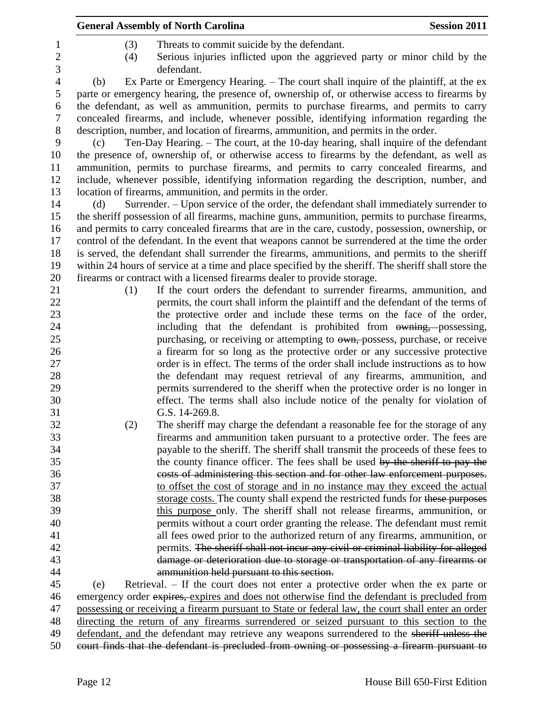|     | <b>General Assembly of North Carolina</b>                                                                                                                                                              | <b>Session 2011</b> |
|-----|--------------------------------------------------------------------------------------------------------------------------------------------------------------------------------------------------------|---------------------|
| (3) | Threats to commit suicide by the defendant.                                                                                                                                                            |                     |
| (4) | Serious injuries inflicted upon the aggrieved party or minor child by the<br>defendant.                                                                                                                |                     |
| (b) | Ex Parte or Emergency Hearing. – The court shall inquire of the plaintiff, at the ex                                                                                                                   |                     |
|     | parte or emergency hearing, the presence of, ownership of, or otherwise access to firearms by                                                                                                          |                     |
|     | the defendant, as well as ammunition, permits to purchase firearms, and permits to carry                                                                                                               |                     |
|     | concealed firearms, and include, whenever possible, identifying information regarding the                                                                                                              |                     |
|     | description, number, and location of firearms, ammunition, and permits in the order.                                                                                                                   |                     |
| (c) | Ten-Day Hearing. – The court, at the 10-day hearing, shall inquire of the defendant                                                                                                                    |                     |
|     | the presence of, ownership of, or otherwise access to firearms by the defendant, as well as                                                                                                            |                     |
|     | ammunition, permits to purchase firearms, and permits to carry concealed firearms, and                                                                                                                 |                     |
|     | include, whenever possible, identifying information regarding the description, number, and                                                                                                             |                     |
|     | location of firearms, ammunition, and permits in the order.                                                                                                                                            |                     |
| (d) | Surrender. – Upon service of the order, the defendant shall immediately surrender to                                                                                                                   |                     |
|     | the sheriff possession of all firearms, machine guns, ammunition, permits to purchase firearms,                                                                                                        |                     |
|     | and permits to carry concealed firearms that are in the care, custody, possession, ownership, or                                                                                                       |                     |
|     | control of the defendant. In the event that weapons cannot be surrendered at the time the order                                                                                                        |                     |
|     | is served, the defendant shall surrender the firearms, ammunitions, and permits to the sheriff<br>within 24 hours of service at a time and place specified by the sheriff. The sheriff shall store the |                     |
|     | firearms or contract with a licensed firearms dealer to provide storage.                                                                                                                               |                     |
| (1) | If the court orders the defendant to surrender firearms, ammunition, and                                                                                                                               |                     |
|     | permits, the court shall inform the plaintiff and the defendant of the terms of                                                                                                                        |                     |
|     | the protective order and include these terms on the face of the order,                                                                                                                                 |                     |
|     | including that the defendant is prohibited from owning, possessing,                                                                                                                                    |                     |
|     | purchasing, or receiving or attempting to own, possess, purchase, or receive                                                                                                                           |                     |
|     | a firearm for so long as the protective order or any successive protective                                                                                                                             |                     |
|     | order is in effect. The terms of the order shall include instructions as to how                                                                                                                        |                     |
|     | the defendant may request retrieval of any firearms, ammunition, and                                                                                                                                   |                     |
|     | permits surrendered to the sheriff when the protective order is no longer in                                                                                                                           |                     |
|     | effect. The terms shall also include notice of the penalty for violation of                                                                                                                            |                     |
|     | G.S. 14-269.8.                                                                                                                                                                                         |                     |
| (2) | The sheriff may charge the defendant a reasonable fee for the storage of any                                                                                                                           |                     |
|     | firearms and ammunition taken pursuant to a protective order. The fees are                                                                                                                             |                     |
|     | payable to the sheriff. The sheriff shall transmit the proceeds of these fees to                                                                                                                       |                     |
|     | the county finance officer. The fees shall be used by the sheriff to pay the                                                                                                                           |                     |
|     | costs of administering this section and for other law enforcement purposes.<br>to offset the cost of storage and in no instance may they exceed the actual                                             |                     |
|     | storage costs. The county shall expend the restricted funds for these purposes                                                                                                                         |                     |
|     | this purpose only. The sheriff shall not release firearms, ammunition, or                                                                                                                              |                     |
|     | permits without a court order granting the release. The defendant must remit                                                                                                                           |                     |
|     | all fees owed prior to the authorized return of any firearms, ammunition, or                                                                                                                           |                     |
|     | permits. The sheriff shall not incur any civil or criminal liability for alleged                                                                                                                       |                     |
|     | damage or deterioration due to storage or transportation of any firearms or                                                                                                                            |                     |
|     | ammunition held pursuant to this section.                                                                                                                                                              |                     |
| (e) | Retrieval. - If the court does not enter a protective order when the ex parte or                                                                                                                       |                     |
|     | emergency order expires, expires and does not otherwise find the defendant is precluded from                                                                                                           |                     |
|     | possessing or receiving a firearm pursuant to State or federal law, the court shall enter an order                                                                                                     |                     |
|     | directing the return of any firearms surrendered or seized pursuant to this section to the                                                                                                             |                     |
|     | defendant, and the defendant may retrieve any weapons surrendered to the sheriff unless the                                                                                                            |                     |
|     | court finds that the defendant is precluded from owning or possessing a firearm pursuant to                                                                                                            |                     |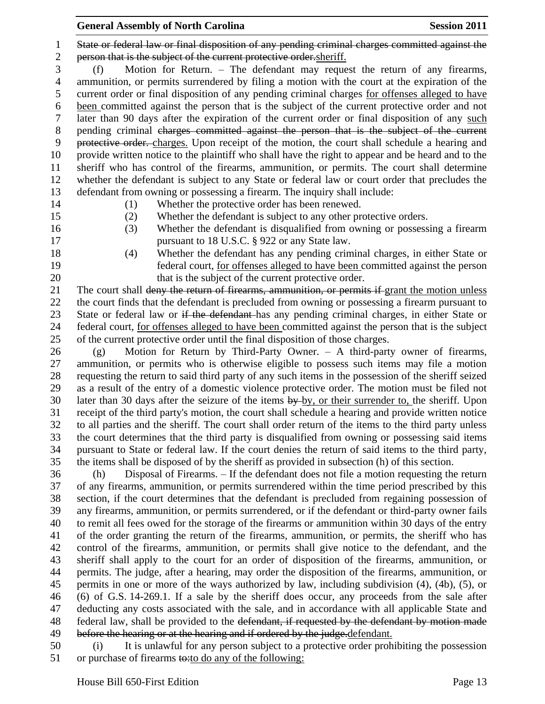State or federal law or final disposition of any pending criminal charges committed against the 2 person that is the subject of the current protective order.sheriff.

 (f) Motion for Return. – The defendant may request the return of any firearms, ammunition, or permits surrendered by filing a motion with the court at the expiration of the current order or final disposition of any pending criminal charges for offenses alleged to have been committed against the person that is the subject of the current protective order and not later than 90 days after the expiration of the current order or final disposition of any such pending criminal charges committed against the person that is the subject of the current protective order. charges. Upon receipt of the motion, the court shall schedule a hearing and provide written notice to the plaintiff who shall have the right to appear and be heard and to the sheriff who has control of the firearms, ammunition, or permits. The court shall determine whether the defendant is subject to any State or federal law or court order that precludes the defendant from owning or possessing a firearm. The inquiry shall include:

(1) Whether the protective order has been renewed.

(2) Whether the defendant is subject to any other protective orders.

 (3) Whether the defendant is disqualified from owning or possessing a firearm **pursuant to 18 U.S.C.** § 922 or any State law.

 (4) Whether the defendant has any pending criminal charges, in either State or federal court, for offenses alleged to have been committed against the person 20 that is the subject of the current protective order.

21 The court shall deny the return of firearms, ammunition, or permits if grant the motion unless the court finds that the defendant is precluded from owning or possessing a firearm pursuant to 23 State or federal law or if the defendant has any pending criminal charges, in either State or federal court, for offenses alleged to have been committed against the person that is the subject of the current protective order until the final disposition of those charges.

 (g) Motion for Return by Third-Party Owner. – A third-party owner of firearms, ammunition, or permits who is otherwise eligible to possess such items may file a motion requesting the return to said third party of any such items in the possession of the sheriff seized as a result of the entry of a domestic violence protective order. The motion must be filed not 30 later than 30 days after the seizure of the items by by, or their surrender to, the sheriff. Upon receipt of the third party's motion, the court shall schedule a hearing and provide written notice to all parties and the sheriff. The court shall order return of the items to the third party unless the court determines that the third party is disqualified from owning or possessing said items pursuant to State or federal law. If the court denies the return of said items to the third party, the items shall be disposed of by the sheriff as provided in subsection (h) of this section.

 (h) Disposal of Firearms. – If the defendant does not file a motion requesting the return of any firearms, ammunition, or permits surrendered within the time period prescribed by this section, if the court determines that the defendant is precluded from regaining possession of any firearms, ammunition, or permits surrendered, or if the defendant or third-party owner fails to remit all fees owed for the storage of the firearms or ammunition within 30 days of the entry of the order granting the return of the firearms, ammunition, or permits, the sheriff who has control of the firearms, ammunition, or permits shall give notice to the defendant, and the sheriff shall apply to the court for an order of disposition of the firearms, ammunition, or permits. The judge, after a hearing, may order the disposition of the firearms, ammunition, or permits in one or more of the ways authorized by law, including subdivision (4), (4b), (5), or (6) of G.S. 14-269.1. If a sale by the sheriff does occur, any proceeds from the sale after deducting any costs associated with the sale, and in accordance with all applicable State and 48 federal law, shall be provided to the defendant, if requested by the defendant by motion made 49 before the hearing or at the hearing and if ordered by the judge.defendant.

 (i) It is unlawful for any person subject to a protective order prohibiting the possession 51 or purchase of firearms  $\leftrightarrow$  to do any of the following: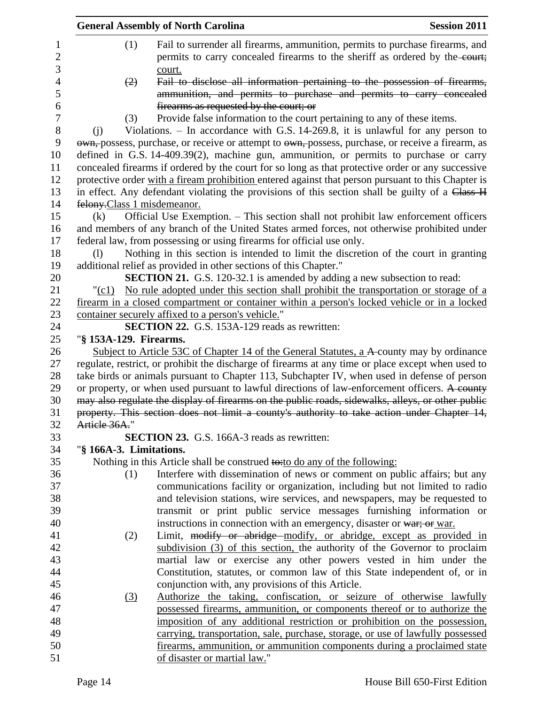|                         |                  | <b>General Assembly of North Carolina</b>                                                                                                                                                                                                                                                                                                                                                                                                                                                                                                                                                      | <b>Session 2011</b> |
|-------------------------|------------------|------------------------------------------------------------------------------------------------------------------------------------------------------------------------------------------------------------------------------------------------------------------------------------------------------------------------------------------------------------------------------------------------------------------------------------------------------------------------------------------------------------------------------------------------------------------------------------------------|---------------------|
|                         | (1)              | Fail to surrender all firearms, ammunition, permits to purchase firearms, and<br>permits to carry concealed firearms to the sheriff as ordered by the-court;<br>court.                                                                                                                                                                                                                                                                                                                                                                                                                         |                     |
|                         | (2)              | Fail to disclose all information pertaining to the possession of firearms,<br>ammunition, and permits to purchase and permits to carry concealed                                                                                                                                                                                                                                                                                                                                                                                                                                               |                     |
|                         |                  | firearms as requested by the court; or                                                                                                                                                                                                                                                                                                                                                                                                                                                                                                                                                         |                     |
|                         | (3)              | Provide false information to the court pertaining to any of these items.                                                                                                                                                                                                                                                                                                                                                                                                                                                                                                                       |                     |
| (i)                     |                  | Violations. $-$ In accordance with G.S. 14-269.8, it is unlawful for any person to<br>own, possess, purchase, or receive or attempt to own, possess, purchase, or receive a firearm, as<br>defined in G.S. 14-409.39(2), machine gun, ammunition, or permits to purchase or carry<br>concealed firearms if ordered by the court for so long as that protective order or any successive<br>protective order with a fiream prohibition entered against that person pursuant to this Chapter is<br>in effect. Any defendant violating the provisions of this section shall be guilty of a Class H |                     |
|                         |                  | felony. Class 1 misdemeanor.                                                                                                                                                                                                                                                                                                                                                                                                                                                                                                                                                                   |                     |
| (k)                     |                  | Official Use Exemption. - This section shall not prohibit law enforcement officers<br>and members of any branch of the United States armed forces, not otherwise prohibited under                                                                                                                                                                                                                                                                                                                                                                                                              |                     |
|                         |                  | federal law, from possessing or using firearms for official use only.                                                                                                                                                                                                                                                                                                                                                                                                                                                                                                                          |                     |
| (1)                     |                  | Nothing in this section is intended to limit the discretion of the court in granting                                                                                                                                                                                                                                                                                                                                                                                                                                                                                                           |                     |
|                         |                  | additional relief as provided in other sections of this Chapter."                                                                                                                                                                                                                                                                                                                                                                                                                                                                                                                              |                     |
|                         |                  | <b>SECTION 21.</b> G.S. 120-32.1 is amended by adding a new subsection to read:                                                                                                                                                                                                                                                                                                                                                                                                                                                                                                                |                     |
| "(c1)                   |                  | No rule adopted under this section shall prohibit the transportation or storage of a                                                                                                                                                                                                                                                                                                                                                                                                                                                                                                           |                     |
|                         |                  | firearm in a closed compartment or container within a person's locked vehicle or in a locked                                                                                                                                                                                                                                                                                                                                                                                                                                                                                                   |                     |
|                         |                  | container securely affixed to a person's vehicle."                                                                                                                                                                                                                                                                                                                                                                                                                                                                                                                                             |                     |
|                         |                  | <b>SECTION 22.</b> G.S. 153A-129 reads as rewritten:                                                                                                                                                                                                                                                                                                                                                                                                                                                                                                                                           |                     |
| "§ 153A-129. Firearms.  |                  |                                                                                                                                                                                                                                                                                                                                                                                                                                                                                                                                                                                                |                     |
|                         |                  | Subject to Article 53C of Chapter 14 of the General Statutes, a A-county may by ordinance                                                                                                                                                                                                                                                                                                                                                                                                                                                                                                      |                     |
|                         |                  | regulate, restrict, or prohibit the discharge of firearms at any time or place except when used to                                                                                                                                                                                                                                                                                                                                                                                                                                                                                             |                     |
|                         |                  | take birds or animals pursuant to Chapter 113, Subchapter IV, when used in defense of person                                                                                                                                                                                                                                                                                                                                                                                                                                                                                                   |                     |
|                         |                  | or property, or when used pursuant to lawful directions of law-enforcement officers. A county                                                                                                                                                                                                                                                                                                                                                                                                                                                                                                  |                     |
|                         |                  | may also regulate the display of firearms on the public roads, sidewalks, alleys, or other public                                                                                                                                                                                                                                                                                                                                                                                                                                                                                              |                     |
|                         |                  | property. This section does not limit a county's authority to take action under Chapter 14,                                                                                                                                                                                                                                                                                                                                                                                                                                                                                                    |                     |
| Article 36A."           |                  |                                                                                                                                                                                                                                                                                                                                                                                                                                                                                                                                                                                                |                     |
|                         |                  | <b>SECTION 23.</b> G.S. 166A-3 reads as rewritten:                                                                                                                                                                                                                                                                                                                                                                                                                                                                                                                                             |                     |
| "§ 166A-3. Limitations. |                  |                                                                                                                                                                                                                                                                                                                                                                                                                                                                                                                                                                                                |                     |
|                         |                  | Nothing in this Article shall be construed to:to do any of the following:                                                                                                                                                                                                                                                                                                                                                                                                                                                                                                                      |                     |
|                         | (1)              | Interfere with dissemination of news or comment on public affairs; but any                                                                                                                                                                                                                                                                                                                                                                                                                                                                                                                     |                     |
|                         |                  | communications facility or organization, including but not limited to radio                                                                                                                                                                                                                                                                                                                                                                                                                                                                                                                    |                     |
|                         |                  | and television stations, wire services, and newspapers, may be requested to                                                                                                                                                                                                                                                                                                                                                                                                                                                                                                                    |                     |
|                         |                  | transmit or print public service messages furnishing information or                                                                                                                                                                                                                                                                                                                                                                                                                                                                                                                            |                     |
|                         |                  | instructions in connection with an emergency, disaster or war; or war.                                                                                                                                                                                                                                                                                                                                                                                                                                                                                                                         |                     |
|                         | (2)              | Limit, modify or abridge modify, or abridge, except as provided in<br>subdivision (3) of this section, the authority of the Governor to proclaim                                                                                                                                                                                                                                                                                                                                                                                                                                               |                     |
|                         |                  | martial law or exercise any other powers vested in him under the                                                                                                                                                                                                                                                                                                                                                                                                                                                                                                                               |                     |
|                         |                  | Constitution, statutes, or common law of this State independent of, or in                                                                                                                                                                                                                                                                                                                                                                                                                                                                                                                      |                     |
|                         |                  | conjunction with, any provisions of this Article.                                                                                                                                                                                                                                                                                                                                                                                                                                                                                                                                              |                     |
|                         | $\left(3\right)$ | Authorize the taking, confiscation, or seizure of otherwise lawfully                                                                                                                                                                                                                                                                                                                                                                                                                                                                                                                           |                     |
|                         |                  | possessed firearms, ammunition, or components thereof or to authorize the                                                                                                                                                                                                                                                                                                                                                                                                                                                                                                                      |                     |
|                         |                  | imposition of any additional restriction or prohibition on the possession,                                                                                                                                                                                                                                                                                                                                                                                                                                                                                                                     |                     |
|                         |                  | carrying, transportation, sale, purchase, storage, or use of lawfully possessed                                                                                                                                                                                                                                                                                                                                                                                                                                                                                                                |                     |
|                         |                  | firearms, ammunition, or ammunition components during a proclaimed state                                                                                                                                                                                                                                                                                                                                                                                                                                                                                                                       |                     |
|                         |                  | of disaster or martial law."                                                                                                                                                                                                                                                                                                                                                                                                                                                                                                                                                                   |                     |